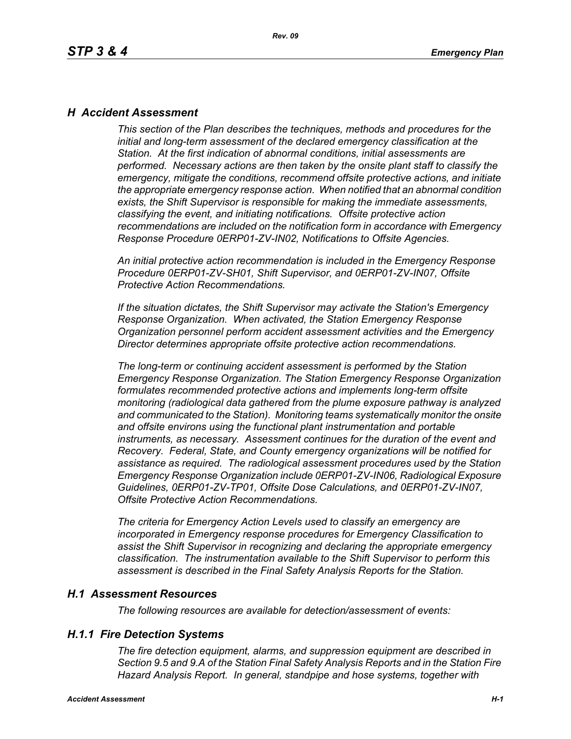### *H Accident Assessment*

*This section of the Plan describes the techniques, methods and procedures for the initial and long-term assessment of the declared emergency classification at the Station. At the first indication of abnormal conditions, initial assessments are performed. Necessary actions are then taken by the onsite plant staff to classify the emergency, mitigate the conditions, recommend offsite protective actions, and initiate the appropriate emergency response action. When notified that an abnormal condition exists, the Shift Supervisor is responsible for making the immediate assessments, classifying the event, and initiating notifications. Offsite protective action recommendations are included on the notification form in accordance with Emergency Response Procedure 0ERP01-ZV-IN02, Notifications to Offsite Agencies.*

*An initial protective action recommendation is included in the Emergency Response Procedure 0ERP01-ZV-SH01, Shift Supervisor, and 0ERP01-ZV-IN07, Offsite Protective Action Recommendations.*

*If the situation dictates, the Shift Supervisor may activate the Station's Emergency Response Organization. When activated, the Station Emergency Response Organization personnel perform accident assessment activities and the Emergency Director determines appropriate offsite protective action recommendations.*

*The long-term or continuing accident assessment is performed by the Station Emergency Response Organization. The Station Emergency Response Organization formulates recommended protective actions and implements long-term offsite monitoring (radiological data gathered from the plume exposure pathway is analyzed and communicated to the Station). Monitoring teams systematically monitor the onsite and offsite environs using the functional plant instrumentation and portable instruments, as necessary. Assessment continues for the duration of the event and Recovery. Federal, State, and County emergency organizations will be notified for assistance as required. The radiological assessment procedures used by the Station Emergency Response Organization include 0ERP01-ZV-IN06, Radiological Exposure Guidelines, 0ERP01-ZV-TP01, Offsite Dose Calculations, and 0ERP01-ZV-IN07, Offsite Protective Action Recommendations.*

*The criteria for Emergency Action Levels used to classify an emergency are incorporated in Emergency response procedures for Emergency Classification to assist the Shift Supervisor in recognizing and declaring the appropriate emergency classification. The instrumentation available to the Shift Supervisor to perform this assessment is described in the Final Safety Analysis Reports for the Station.*

### *H.1 Assessment Resources*

*The following resources are available for detection/assessment of events:*

### *H.1.1 Fire Detection Systems*

*The fire detection equipment, alarms, and suppression equipment are described in Section 9.5 and 9.A of the Station Final Safety Analysis Reports and in the Station Fire Hazard Analysis Report. In general, standpipe and hose systems, together with*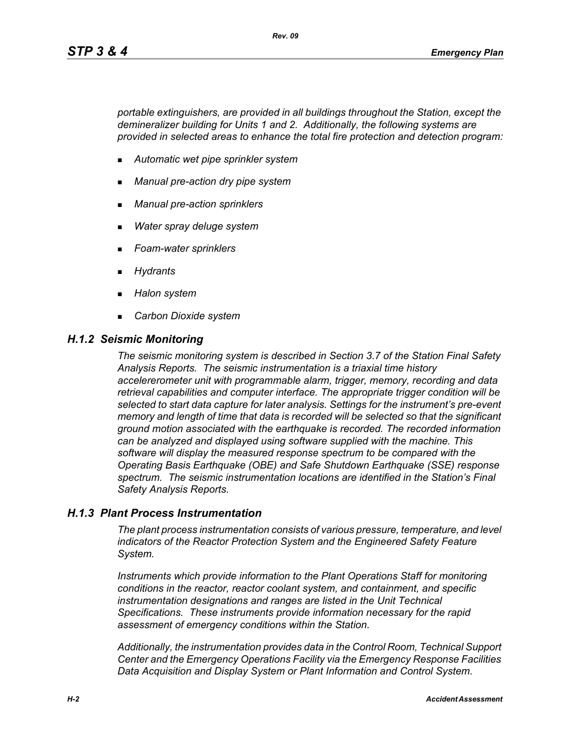*portable extinguishers, are provided in all buildings throughout the Station, except the demineralizer building for Units 1 and 2. Additionally, the following systems are provided in selected areas to enhance the total fire protection and detection program:*

- *Automatic wet pipe sprinkler system*
- *Manual pre-action dry pipe system*
- *Manual pre-action sprinklers*
- *Water spray deluge system*
- *Foam-water sprinklers*
- *Hydrants*
- *Halon system*
- *Carbon Dioxide system*

#### *H.1.2 Seismic Monitoring*

*The seismic monitoring system is described in Section 3.7 of the Station Final Safety Analysis Reports. The seismic instrumentation is a triaxial time history accelererometer unit with programmable alarm, trigger, memory, recording and data retrieval capabilities and computer interface. The appropriate trigger condition will be selected to start data capture for later analysis. Settings for the instrument's pre-event memory and length of time that data is recorded will be selected so that the significant ground motion associated with the earthquake is recorded. The recorded information can be analyzed and displayed using software supplied with the machine. This software will display the measured response spectrum to be compared with the Operating Basis Earthquake (OBE) and Safe Shutdown Earthquake (SSE) response spectrum. The seismic instrumentation locations are identified in the Station's Final Safety Analysis Reports.*

### *H.1.3 Plant Process Instrumentation*

*The plant process instrumentation consists of various pressure, temperature, and level indicators of the Reactor Protection System and the Engineered Safety Feature System.*

*Instruments which provide information to the Plant Operations Staff for monitoring conditions in the reactor, reactor coolant system, and containment, and specific instrumentation designations and ranges are listed in the Unit Technical Specifications. These instruments provide information necessary for the rapid assessment of emergency conditions within the Station.*

*Additionally, the instrumentation provides data in the Control Room, Technical Support Center and the Emergency Operations Facility via the Emergency Response Facilities Data Acquisition and Display System or Plant Information and Control System.*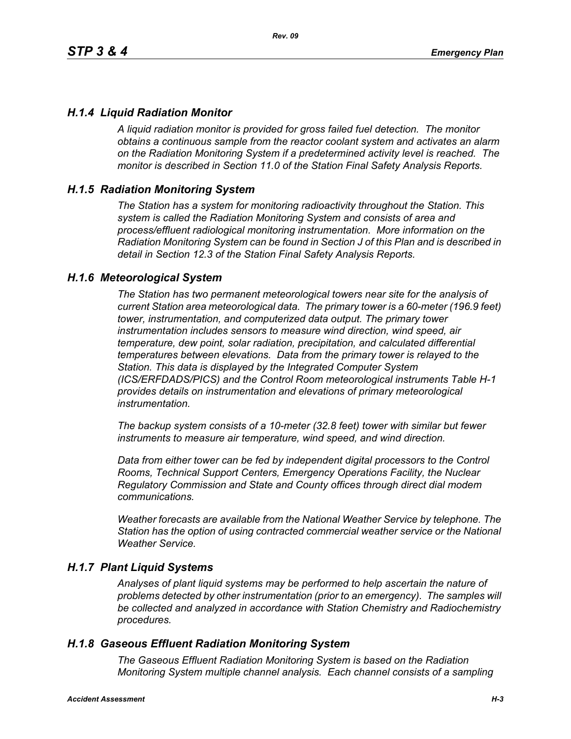## *H.1.4 Liquid Radiation Monitor*

*A liquid radiation monitor is provided for gross failed fuel detection. The monitor obtains a continuous sample from the reactor coolant system and activates an alarm on the Radiation Monitoring System if a predetermined activity level is reached. The monitor is described in Section 11.0 of the Station Final Safety Analysis Reports.*

### *H.1.5 Radiation Monitoring System*

*The Station has a system for monitoring radioactivity throughout the Station. This system is called the Radiation Monitoring System and consists of area and process/effluent radiological monitoring instrumentation. More information on the Radiation Monitoring System can be found in Section J of this Plan and is described in detail in Section 12.3 of the Station Final Safety Analysis Reports.*

### *H.1.6 Meteorological System*

*The Station has two permanent meteorological towers near site for the analysis of current Station area meteorological data. The primary tower is a 60-meter (196.9 feet) tower, instrumentation, and computerized data output. The primary tower instrumentation includes sensors to measure wind direction, wind speed, air temperature, dew point, solar radiation, precipitation, and calculated differential temperatures between elevations. Data from the primary tower is relayed to the Station. This data is displayed by the Integrated Computer System (ICS/ERFDADS/PICS) and the Control Room meteorological instruments Table H-1 provides details on instrumentation and elevations of primary meteorological instrumentation.*

*The backup system consists of a 10-meter (32.8 feet) tower with similar but fewer instruments to measure air temperature, wind speed, and wind direction.*

*Data from either tower can be fed by independent digital processors to the Control Rooms, Technical Support Centers, Emergency Operations Facility, the Nuclear Regulatory Commission and State and County offices through direct dial modem communications.* 

*Weather forecasts are available from the National Weather Service by telephone. The Station has the option of using contracted commercial weather service or the National Weather Service.*

### *H.1.7 Plant Liquid Systems*

*Analyses of plant liquid systems may be performed to help ascertain the nature of problems detected by other instrumentation (prior to an emergency). The samples will be collected and analyzed in accordance with Station Chemistry and Radiochemistry procedures.*

### *H.1.8 Gaseous Effluent Radiation Monitoring System*

*The Gaseous Effluent Radiation Monitoring System is based on the Radiation Monitoring System multiple channel analysis. Each channel consists of a sampling*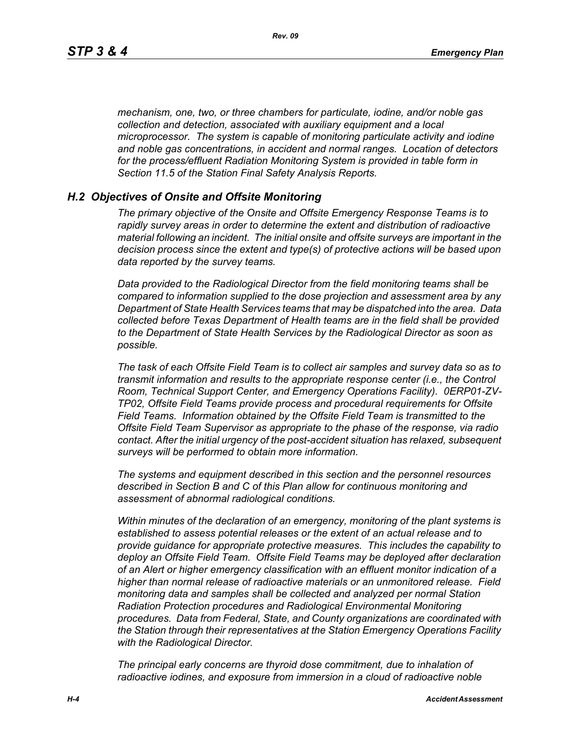*mechanism, one, two, or three chambers for particulate, iodine, and/or noble gas collection and detection, associated with auxiliary equipment and a local microprocessor. The system is capable of monitoring particulate activity and iodine and noble gas concentrations, in accident and normal ranges. Location of detectors for the process/effluent Radiation Monitoring System is provided in table form in Section 11.5 of the Station Final Safety Analysis Reports.* 

#### *H.2 Objectives of Onsite and Offsite Monitoring*

*The primary objective of the Onsite and Offsite Emergency Response Teams is to rapidly survey areas in order to determine the extent and distribution of radioactive material following an incident. The initial onsite and offsite surveys are important in the decision process since the extent and type(s) of protective actions will be based upon data reported by the survey teams.*

*Data provided to the Radiological Director from the field monitoring teams shall be compared to information supplied to the dose projection and assessment area by any Department of State Health Services teams that may be dispatched into the area. Data collected before Texas Department of Health teams are in the field shall be provided to the Department of State Health Services by the Radiological Director as soon as possible.*

*The task of each Offsite Field Team is to collect air samples and survey data so as to transmit information and results to the appropriate response center (i.e., the Control Room, Technical Support Center, and Emergency Operations Facility). 0ERP01-ZV-TP02, Offsite Field Teams provide process and procedural requirements for Offsite Field Teams. Information obtained by the Offsite Field Team is transmitted to the Offsite Field Team Supervisor as appropriate to the phase of the response, via radio contact. After the initial urgency of the post-accident situation has relaxed, subsequent surveys will be performed to obtain more information.*

*The systems and equipment described in this section and the personnel resources described in Section B and C of this Plan allow for continuous monitoring and assessment of abnormal radiological conditions.*

*Within minutes of the declaration of an emergency, monitoring of the plant systems is established to assess potential releases or the extent of an actual release and to provide guidance for appropriate protective measures. This includes the capability to deploy an Offsite Field Team. Offsite Field Teams may be deployed after declaration of an Alert or higher emergency classification with an effluent monitor indication of a higher than normal release of radioactive materials or an unmonitored release. Field monitoring data and samples shall be collected and analyzed per normal Station Radiation Protection procedures and Radiological Environmental Monitoring procedures. Data from Federal, State, and County organizations are coordinated with the Station through their representatives at the Station Emergency Operations Facility with the Radiological Director.*

*The principal early concerns are thyroid dose commitment, due to inhalation of radioactive iodines, and exposure from immersion in a cloud of radioactive noble*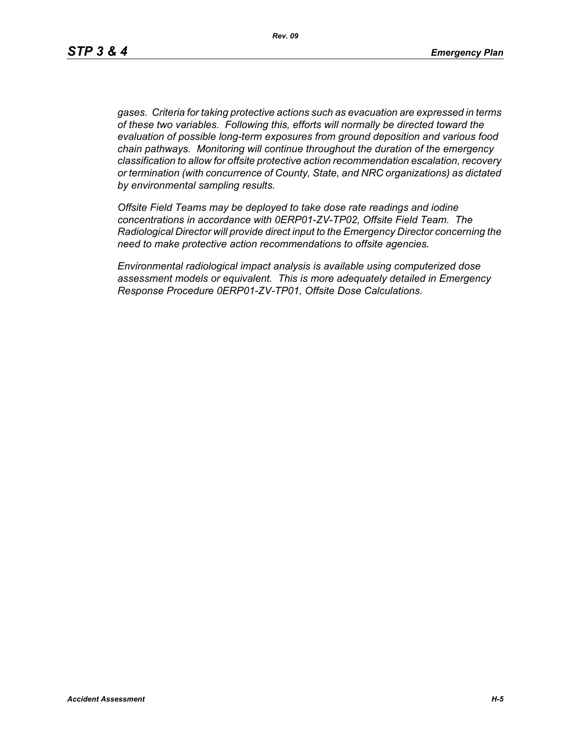*gases. Criteria for taking protective actions such as evacuation are expressed in terms of these two variables. Following this, efforts will normally be directed toward the evaluation of possible long-term exposures from ground deposition and various food chain pathways. Monitoring will continue throughout the duration of the emergency classification to allow for offsite protective action recommendation escalation, recovery or termination (with concurrence of County, State, and NRC organizations) as dictated by environmental sampling results.*

*Offsite Field Teams may be deployed to take dose rate readings and iodine concentrations in accordance with 0ERP01-ZV-TP02, Offsite Field Team. The Radiological Director will provide direct input to the Emergency Director concerning the need to make protective action recommendations to offsite agencies.* 

*Environmental radiological impact analysis is available using computerized dose assessment models or equivalent. This is more adequately detailed in Emergency Response Procedure 0ERP01-ZV-TP01, Offsite Dose Calculations.*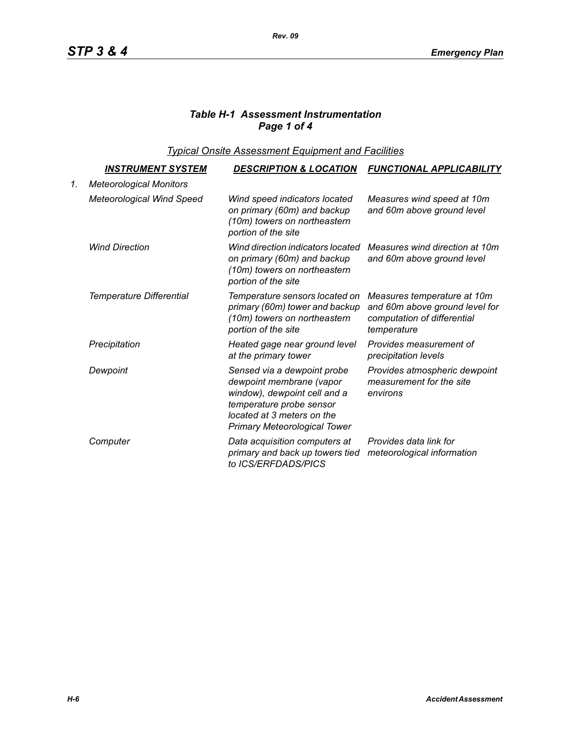# *Table H-1 Assessment Instrumentation Page 1 of 4*

*Typical Onsite Assessment Equipment and Facilities*

|    | <u>INSTRUMENT SYSTEM</u>         | <b>DESCRIPTION &amp; LOCATION</b>                                                                                                                                                        | <b>FUNCTIONAL APPLICABILITY</b>                                                                             |
|----|----------------------------------|------------------------------------------------------------------------------------------------------------------------------------------------------------------------------------------|-------------------------------------------------------------------------------------------------------------|
| 1. | <b>Meteorological Monitors</b>   |                                                                                                                                                                                          |                                                                                                             |
|    | <b>Meteorological Wind Speed</b> | Wind speed indicators located<br>on primary (60m) and backup<br>(10m) towers on northeastern<br>portion of the site                                                                      | Measures wind speed at 10m<br>and 60m above ground level                                                    |
|    | <b>Wind Direction</b>            | Wind direction indicators located<br>on primary (60m) and backup<br>(10m) towers on northeastern<br>portion of the site                                                                  | Measures wind direction at 10m<br>and 60m above ground level                                                |
|    | <b>Temperature Differential</b>  | Temperature sensors located on<br>primary (60m) tower and backup<br>(10m) towers on northeastern<br>portion of the site                                                                  | Measures temperature at 10m<br>and 60m above ground level for<br>computation of differential<br>temperature |
|    | Precipitation                    | Heated gage near ground level<br>at the primary tower                                                                                                                                    | Provides measurement of<br>precipitation levels                                                             |
|    | Dewpoint                         | Sensed via a dewpoint probe<br>dewpoint membrane (vapor<br>window), dewpoint cell and a<br>temperature probe sensor<br>located at 3 meters on the<br><b>Primary Meteorological Tower</b> | Provides atmospheric dewpoint<br>measurement for the site<br>environs                                       |
|    | Computer                         | Data acquisition computers at<br>primary and back up towers tied<br>to ICS/ERFDADS/PICS                                                                                                  | Provides data link for<br>meteorological information                                                        |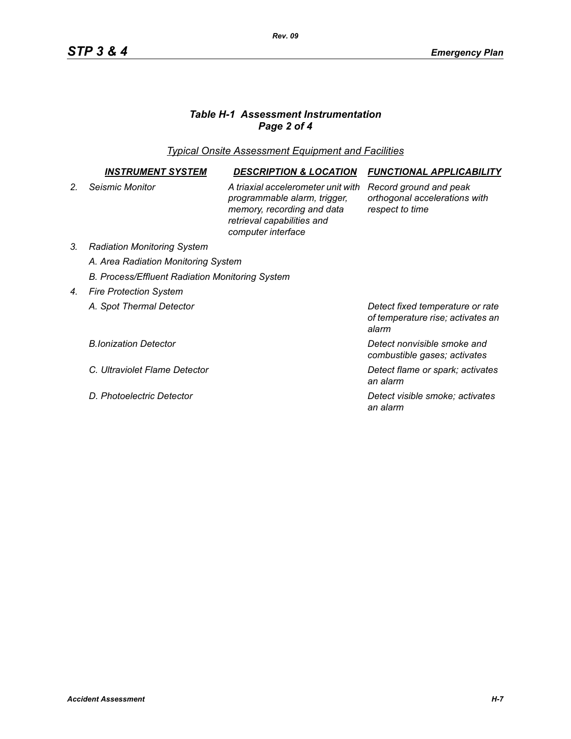# *Table H-1 Assessment Instrumentation Page 2 of 4*

*Typical Onsite Assessment Equipment and Facilities*

|                | INSTRUMENT SYSTEM                               | <b>DESCRIPTION &amp; LOCATION</b>                                                                                                                    | <b>FUNCTIONAL APPLICABILITY</b>                                                |  |  |
|----------------|-------------------------------------------------|------------------------------------------------------------------------------------------------------------------------------------------------------|--------------------------------------------------------------------------------|--|--|
| 2 <sub>1</sub> | Seismic Monitor                                 | A triaxial accelerometer unit with<br>programmable alarm, trigger,<br>memory, recording and data<br>retrieval capabilities and<br>computer interface | Record ground and peak<br>orthogonal accelerations with<br>respect to time     |  |  |
| 3.             | <b>Radiation Monitoring System</b>              |                                                                                                                                                      |                                                                                |  |  |
|                | A. Area Radiation Monitoring System             |                                                                                                                                                      |                                                                                |  |  |
|                | B. Process/Effluent Radiation Monitoring System |                                                                                                                                                      |                                                                                |  |  |
| 4.             | <b>Fire Protection System</b>                   |                                                                                                                                                      |                                                                                |  |  |
|                | A. Spot Thermal Detector                        |                                                                                                                                                      | Detect fixed temperature or rate<br>of temperature rise; activates an<br>alarm |  |  |
|                | <b>B.Ionization Detector</b>                    |                                                                                                                                                      | Detect nonvisible smoke and<br>combustible gases; activates                    |  |  |
|                | C. Ultraviolet Flame Detector                   |                                                                                                                                                      | Detect flame or spark; activates<br>an alarm                                   |  |  |
|                | D. Photoelectric Detector                       |                                                                                                                                                      | Detect visible smoke; activates<br>an alarm                                    |  |  |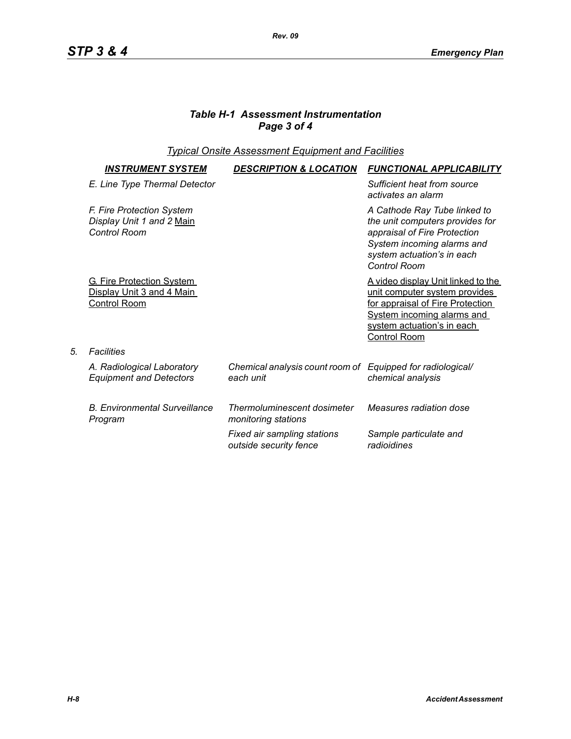## *Table H-1 Assessment Instrumentation Page 3 of 4*

## *Typical Onsite Assessment Equipment and Facilities*

| <b>INSTRUMENT SYSTEM</b>                                                             | <b>DESCRIPTION &amp; LOCATION</b>                                       | <b>FUNCTIONAL APPLICABILITY</b>                                                                                                                                                                    |
|--------------------------------------------------------------------------------------|-------------------------------------------------------------------------|----------------------------------------------------------------------------------------------------------------------------------------------------------------------------------------------------|
| E. Line Type Thermal Detector                                                        |                                                                         | Sufficient heat from source<br>activates an alarm                                                                                                                                                  |
| F. Fire Protection System<br>Display Unit 1 and 2 Main<br><b>Control Room</b>        |                                                                         | A Cathode Ray Tube linked to<br>the unit computers provides for<br>appraisal of Fire Protection<br>System incoming alarms and<br>system actuation's in each<br><b>Control Room</b>                 |
| <b>G. Fire Protection System</b><br>Display Unit 3 and 4 Main<br><b>Control Room</b> |                                                                         | <u>A video display Unit linked to the </u><br>unit computer system provides<br>for appraisal of Fire Protection<br><b>System incoming alarms and</b><br>system actuation's in each<br>Control Room |
| <b>Facilities</b>                                                                    |                                                                         |                                                                                                                                                                                                    |
| A. Radiological Laboratory<br><b>Equipment and Detectors</b>                         | Chemical analysis count room of Equipped for radiological/<br>each unit | chemical analysis                                                                                                                                                                                  |
| <b>B. Environmental Surveillance</b><br>Program                                      | Thermoluminescent dosimeter<br>monitoring stations                      | Measures radiation dose                                                                                                                                                                            |
|                                                                                      | Fixed air sampling stations<br>outside security fence                   | Sample particulate and<br>radioidines                                                                                                                                                              |

*5. Facilities*